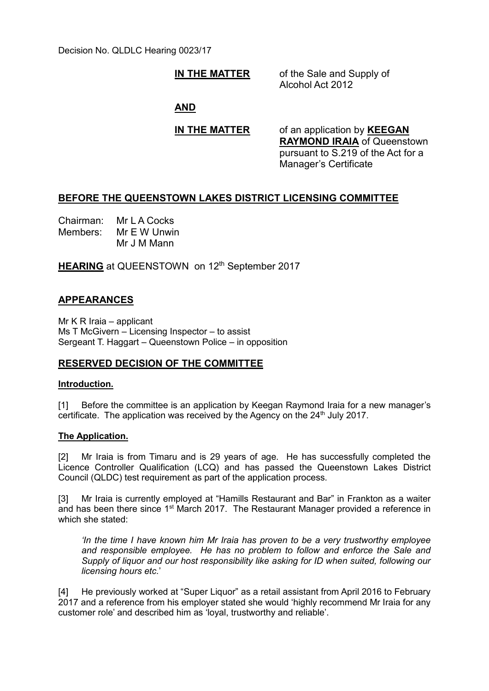Decision No. QLDLC Hearing 0023/17

**IN THE MATTER** of the Sale and Supply of Alcohol Act 2012

**AND**

**IN THE MATTER** of an application by **KEEGAN RAYMOND IRAIA** of Queenstown pursuant to S.219 of the Act for a Manager's Certificate

# **BEFORE THE QUEENSTOWN LAKES DISTRICT LICENSING COMMITTEE**

Chairman: Mr L A Cocks Members: Mr E W Unwin Mr J M Mann

**HEARING** at QUEENSTOWN on 12<sup>th</sup> September 2017

# **APPEARANCES**

Mr K R Iraia – applicant Ms T McGivern – Licensing Inspector – to assist Sergeant T. Haggart – Queenstown Police – in opposition

# **RESERVED DECISION OF THE COMMITTEE**

### **Introduction.**

[1] Before the committee is an application by Keegan Raymond Iraia for a new manager's certificate. The application was received by the Agency on the  $24<sup>th</sup>$  July 2017.

### **The Application.**

[2] Mr Iraia is from Timaru and is 29 years of age. He has successfully completed the Licence Controller Qualification (LCQ) and has passed the Queenstown Lakes District Council (QLDC) test requirement as part of the application process.

[3] Mr Iraia is currently employed at "Hamills Restaurant and Bar" in Frankton as a waiter and has been there since 1<sup>st</sup> March 2017. The Restaurant Manager provided a reference in which she stated:

*'In the time I have known him Mr Iraia has proven to be a very trustworthy employee and responsible employee. He has no problem to follow and enforce the Sale and Supply of liquor and our host responsibility like asking for ID when suited, following our licensing hours etc.*'

[4] He previously worked at "Super Liquor" as a retail assistant from April 2016 to February 2017 and a reference from his employer stated she would 'highly recommend Mr Iraia for any customer role' and described him as 'loyal, trustworthy and reliable'.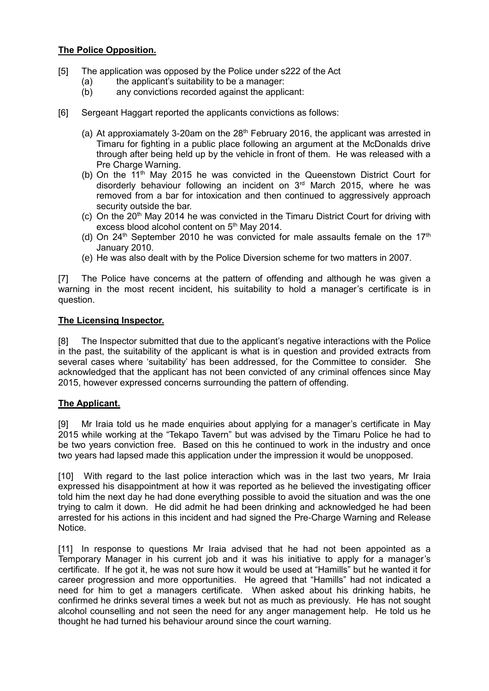## **The Police Opposition.**

- [5] The application was opposed by the Police under s222 of the Act
	- (a) the applicant's suitability to be a manager:
	- (b) any convictions recorded against the applicant:
- [6] Sergeant Haggart reported the applicants convictions as follows:
	- (a) At approxiamately 3-20am on the  $28<sup>th</sup>$  February 2016, the applicant was arrested in Timaru for fighting in a public place following an argument at the McDonalds drive through after being held up by the vehicle in front of them. He was released with a Pre Charge Warning.
	- (b) On the  $11<sup>th</sup>$  May 2015 he was convicted in the Queenstown District Court for disorderly behaviour following an incident on  $3<sup>rd</sup>$  March 2015, where he was removed from a bar for intoxication and then continued to aggressively approach security outside the bar.
	- (c) On the  $20<sup>th</sup>$  May 2014 he was convicted in the Timaru District Court for driving with excess blood alcohol content on 5<sup>th</sup> May 2014.
	- (d) On  $24<sup>th</sup>$  September 2010 he was convicted for male assaults female on the 17<sup>th</sup> January 2010.
	- (e) He was also dealt with by the Police Diversion scheme for two matters in 2007.

[7] The Police have concerns at the pattern of offending and although he was given a warning in the most recent incident, his suitability to hold a manager's certificate is in question.

#### **The Licensing Inspector.**

[8] The Inspector submitted that due to the applicant's negative interactions with the Police in the past, the suitability of the applicant is what is in question and provided extracts from several cases where 'suitability' has been addressed, for the Committee to consider. She acknowledged that the applicant has not been convicted of any criminal offences since May 2015, however expressed concerns surrounding the pattern of offending.

### **The Applicant.**

[9] Mr Iraia told us he made enquiries about applying for a manager's certificate in May 2015 while working at the "Tekapo Tavern" but was advised by the Timaru Police he had to be two years conviction free. Based on this he continued to work in the industry and once two years had lapsed made this application under the impression it would be unopposed.

[10] With regard to the last police interaction which was in the last two years, Mr Iraia expressed his disappointment at how it was reported as he believed the investigating officer told him the next day he had done everything possible to avoid the situation and was the one trying to calm it down. He did admit he had been drinking and acknowledged he had been arrested for his actions in this incident and had signed the Pre-Charge Warning and Release **Notice** 

[11] In response to questions Mr Iraia advised that he had not been appointed as a Temporary Manager in his current job and it was his initiative to apply for a manager's certificate. If he got it, he was not sure how it would be used at "Hamills" but he wanted it for career progression and more opportunities. He agreed that "Hamills" had not indicated a need for him to get a managers certificate. When asked about his drinking habits, he confirmed he drinks several times a week but not as much as previously. He has not sought alcohol counselling and not seen the need for any anger management help. He told us he thought he had turned his behaviour around since the court warning.